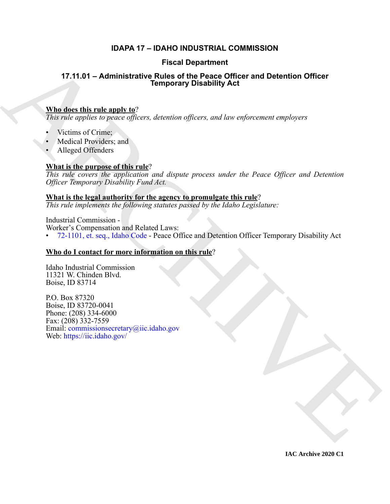## **IDAPA 17 – IDAHO INDUSTRIAL COMMISSION**

## **Fiscal Department**

## **17.11.01 – Administrative Rules of the Peace Officer and Detention Officer Temporary Disability Act**

## **Who does this rule apply to**?

*This rule applies to peace officers, detention officers, and law enforcement employers*

- Victims of Crime;
- Medical Providers; and
- Alleged Offenders

## **What is the purpose of this rule**?

*This rule covers the application and dispute process under the Peace Officer and Detention Officer Temporary Disability Fund Act.*

## **What is the legal authority for the agency to promulgate this rule**?

*This rule implements the following statutes passed by the Idaho Legislature:*

Industrial Commission -

Worker's Compensation and Related Laws:

• 72-1101, et. seq., Idaho Code - Peace Office and Detention Officer Temporary Disability Act

## **Who do I contact for more information on this rule**?

Idaho Industrial Commission 11321 W. Chinden Blvd. Boise, ID 83714

17.11.01 - Administrative Rules of the Peace Officer and Detention Officer<br>
Who describe rules and the peace Officer, and increase officers, and increases engineers<br>
Northcontenant of the same of the same of the same of t P.O. Box 87320 Boise, ID 83720-0041 Phone: (208) 334-6000 Fax: (208) 332-7559 Email: commissionsecretary@iic.idaho.gov Web: https://iic.idaho.gov/

**IAC Archive 2020 C1**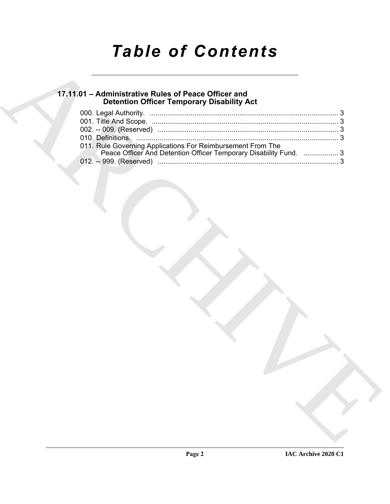# *Table of Contents*

## **17.11.01 – Administrative Rules of Peace Officer and Detention Officer Temporary Disability Act**

| <b>Detention Officer Temporary Disability Act</b>                 |  |
|-------------------------------------------------------------------|--|
|                                                                   |  |
| 011. Rule Governing Applications For Reimbursement From The       |  |
| Peace Officer And Detention Officer Temporary Disability Fund.  3 |  |
|                                                                   |  |
|                                                                   |  |
|                                                                   |  |
|                                                                   |  |
|                                                                   |  |
|                                                                   |  |
|                                                                   |  |
|                                                                   |  |
|                                                                   |  |
|                                                                   |  |
|                                                                   |  |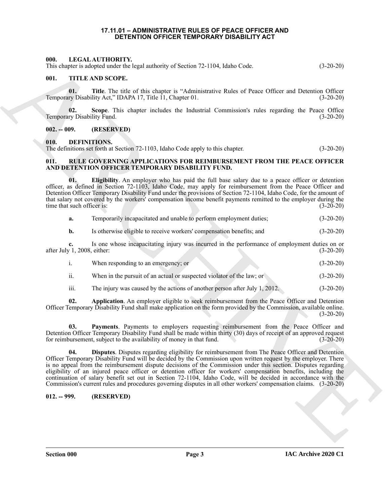#### **17.11.01 – ADMINISTRATIVE RULES OF PEACE OFFICER AND DETENTION OFFICER TEMPORARY DISABILITY ACT**

#### <span id="page-2-8"></span><span id="page-2-1"></span><span id="page-2-0"></span>**000. LEGAL AUTHORITY.**

This chapter is adopted under the legal authority of Section 72-1104, Idaho Code. (3-20-20)

#### <span id="page-2-14"></span><span id="page-2-2"></span>**001. TITLE AND SCOPE.**

**01. Title**. The title of this chapter is "Administrative Rules of Peace Officer and Detention Officer ry Disability Act," IDAPA 17, Title 11, Chapter 01. (3-20-20) Temporary Disability Act," IDAPA 17, Title 11, Chapter 01.

**02.** Scope. This chapter includes the Industrial Commission's rules regarding the Peace Office ry Disability Fund. (3-20-20) Temporary Disability Fund.

#### <span id="page-2-3"></span>**002. -- 009. (RESERVED)**

#### <span id="page-2-7"></span><span id="page-2-4"></span>**010. DEFINITIONS.**

The definitions set forth at Section 72-1103, Idaho Code apply to this chapter. (3-20-20)

#### <span id="page-2-9"></span><span id="page-2-5"></span>**011. RULE GOVERNING APPLICATIONS FOR REIMBURSEMENT FROM THE PEACE OFFICER AND DETENTION OFFICER TEMPORARY DISABILITY FUND.**

<span id="page-2-12"></span>**01. Eligibility**. An employer who has paid the full base salary due to a peace officer or detention officer, as defined in Section 72-1103, Idaho Code, may apply for reimbursement from the Peace Officer and Detention Officer Temporary Disability Fund under the provisions of Section 72-1104, Idaho Code, for the amount of that salary not covered by the workers' compensation income benefit payments remitted to the employer during the time that such officer is: (3-20-20) time that such officer is:

**a.** Temporarily incapacitated and unable to perform employment duties; (3-20-20)

**b.** Is otherwise eligible to receive workers' compensation benefits; and  $(3-20-20)$ 

**c.** Is one whose incapacitating injury was incurred in the performance of employment duties on or after July 1, 2008, either: (3-20-20)

|                 | When responding to an emergency; or                                   | $(3-20-20)$ |
|-----------------|-----------------------------------------------------------------------|-------------|
| $\cdots$<br>11. | When in the pursuit of an actual or suspected violator of the law: or | $(3-20-20)$ |

<span id="page-2-13"></span><span id="page-2-10"></span>iii. The injury was caused by the actions of another person after July 1, 2012. (3-20-20)

**02. Application**. An employer eligible to seek reimbursement from the Peace Officer and Detention Officer Temporary Disability Fund shall make application on the form provided by the Commission, available online.  $(3-20-20)$ 

<span id="page-2-11"></span>**03. Payments**. Payments to employers requesting reimbursement from the Peace Officer and Detention Officer Temporary Disability Fund shall be made within thirty (30) days of receipt of an approved request for reimbursement, subject to the availability of money in that fund. (3-20-20) for reimbursement, subject to the availability of money in that fund.

60.<br>
The CHAT ARTITERATIVE control to the degree of "Administrative Redes of Peace Officer and December 2014-2013<br>
The CHAT ARCHIVE Control of the CHAT ARCHIVE CONTROL CONTROL CONTROL CONTROL CONTROL CONTROL CONTROL CONTR **04. Disputes**. Disputes regarding eligibility for reimbursement from The Peace Officer and Detention Officer Temporary Disability Fund will be decided by the Commission upon written request by the employer. There is no appeal from the reimbursement dispute decisions of the Commission under this section. Disputes regarding eligibility of an injured peace officer or detention officer for workers' compensation benefits, including the continuation of salary benefit set out in Section 72-1104, Idaho Code, will be decided in accordance with the Commission's current rules and procedures governing disputes in all other workers' compensation claims. (3-20-20)

#### <span id="page-2-6"></span>**012. -- 999. (RESERVED)**